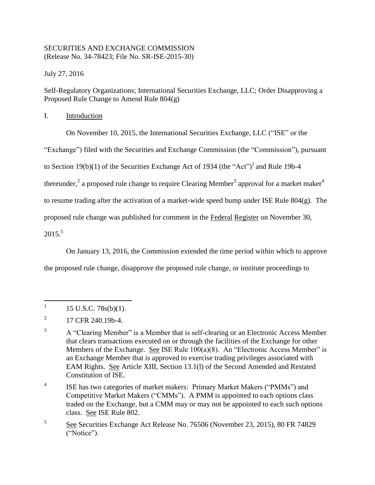## SECURITIES AND EXCHANGE COMMISSION (Release No. 34-78423; File No. SR-ISE-2015-30)

July 27, 2016

Self-Regulatory Organizations; International Securities Exchange, LLC; Order Disapproving a Proposed Rule Change to Amend Rule 804(g)

I. Introduction

On November 10, 2015, the International Securities Exchange, LLC ("ISE" or the

"Exchange") filed with the Securities and Exchange Commission (the "Commission"), pursuant

to Section 19(b)(1) of the Securities Exchange Act of 1934 (the "Act")<sup>1</sup> and Rule 19b-4

thereunder,<sup>2</sup> a proposed rule change to require Clearing Member<sup>3</sup> approval for a market maker<sup>4</sup>

to resume trading after the activation of a market-wide speed bump under ISE Rule 804(g). The

proposed rule change was published for comment in the Federal Register on November 30,

2015. 5

On January 13, 2016, the Commission extended the time period within which to approve

the proposed rule change, disapprove the proposed rule change, or institute proceedings to

4 ISE has two categories of market makers: Primary Market Makers ("PMMs") and Competitive Market Makers ("CMMs"). A PMM is appointed to each options class traded on the Exchange, but a CMM may or may not be appointed to each such options class. See ISE Rule 802.

 $\frac{1}{1}$ 15 U.S.C. 78s(b)(1).

<sup>2</sup> 17 CFR 240.19b-4.

<sup>&</sup>lt;sup>3</sup> A "Clearing Member" is a Member that is self-clearing or an Electronic Access Member that clears transactions executed on or through the facilities of the Exchange for other Members of the Exchange. See ISE Rule 100(a)(8). An "Electronic Access Member" is an Exchange Member that is approved to exercise trading privileges associated with EAM Rights. See Article XIII, Section 13.1(l) of the Second Amended and Restated Constitution of ISE.

<sup>5</sup> See Securities Exchange Act Release No. 76506 (November 23, 2015), 80 FR 74829 ("Notice").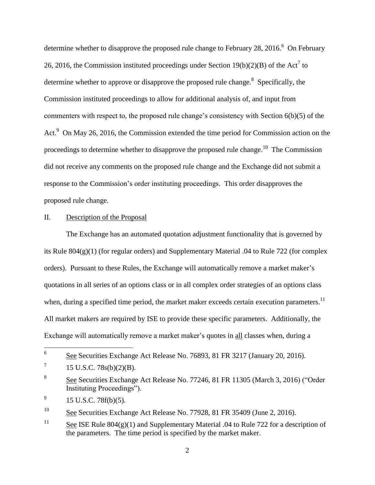determine whether to disapprove the proposed rule change to February 28, 2016.<sup>6</sup> On February 26, 2016, the Commission instituted proceedings under Section  $19(b)(2)(B)$  of the Act<sup>7</sup> to determine whether to approve or disapprove the proposed rule change.<sup>8</sup> Specifically, the Commission instituted proceedings to allow for additional analysis of, and input from commenters with respect to, the proposed rule change's consistency with Section 6(b)(5) of the Act.<sup>9</sup> On May 26, 2016, the Commission extended the time period for Commission action on the proceedings to determine whether to disapprove the proposed rule change.<sup>10</sup> The Commission did not receive any comments on the proposed rule change and the Exchange did not submit a response to the Commission's order instituting proceedings. This order disapproves the proposed rule change.

## II. Description of the Proposal

The Exchange has an automated quotation adjustment functionality that is governed by its Rule 804(g)(1) (for regular orders) and Supplementary Material .04 to Rule 722 (for complex orders). Pursuant to these Rules, the Exchange will automatically remove a market maker's quotations in all series of an options class or in all complex order strategies of an options class when, during a specified time period, the market maker exceeds certain execution parameters.<sup>11</sup> All market makers are required by ISE to provide these specific parameters. Additionally, the Exchange will automatically remove a market maker's quotes in all classes when, during a

<sup>10</sup> See Securities Exchange Act Release No. 77928, 81 FR 35409 (June 2, 2016).

<sup>11</sup> See ISE Rule 804(g)(1) and Supplementary Material .04 to Rule 722 for a description of the parameters. The time period is specified by the market maker.

 6 See Securities Exchange Act Release No. 76893, 81 FR 3217 (January 20, 2016).

<sup>7</sup> 15 U.S.C. 78s(b)(2)(B).

<sup>8</sup> See Securities Exchange Act Release No. 77246, 81 FR 11305 (March 3, 2016) ("Order Instituting Proceedings").

<sup>9</sup> 15 U.S.C. 78f(b)(5).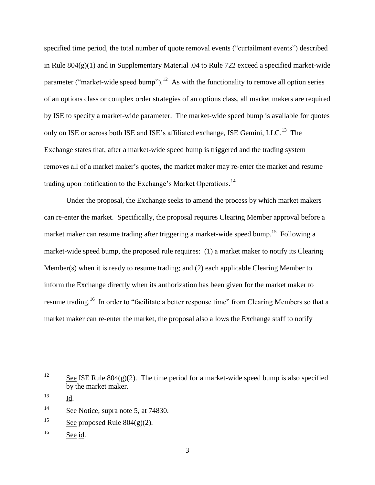specified time period, the total number of quote removal events ("curtailment events") described in Rule 804(g)(1) and in Supplementary Material .04 to Rule 722 exceed a specified market-wide parameter ("market-wide speed bump").<sup>12</sup> As with the functionality to remove all option series of an options class or complex order strategies of an options class, all market makers are required by ISE to specify a market-wide parameter. The market-wide speed bump is available for quotes only on ISE or across both ISE and ISE's affiliated exchange, ISE Gemini, LLC.<sup>13</sup> The Exchange states that, after a market-wide speed bump is triggered and the trading system removes all of a market maker's quotes, the market maker may re-enter the market and resume trading upon notification to the Exchange's Market Operations.<sup>14</sup>

Under the proposal, the Exchange seeks to amend the process by which market makers can re-enter the market. Specifically, the proposal requires Clearing Member approval before a market maker can resume trading after triggering a market-wide speed bump.<sup>15</sup> Following a market-wide speed bump, the proposed rule requires: (1) a market maker to notify its Clearing Member(s) when it is ready to resume trading; and (2) each applicable Clearing Member to inform the Exchange directly when its authorization has been given for the market maker to resume trading.<sup>16</sup> In order to "facilitate a better response time" from Clearing Members so that a market maker can re-enter the market, the proposal also allows the Exchange staff to notify

<sup>12</sup> See ISE Rule  $804(g)(2)$ . The time period for a market-wide speed bump is also specified by the market maker.

<sup>13</sup> Id.

<sup>&</sup>lt;sup>14</sup> See Notice, supra note 5, at 74830.

<sup>&</sup>lt;sup>15</sup> See proposed Rule  $804(g)(2)$ .

<sup>&</sup>lt;sup>16</sup> See id.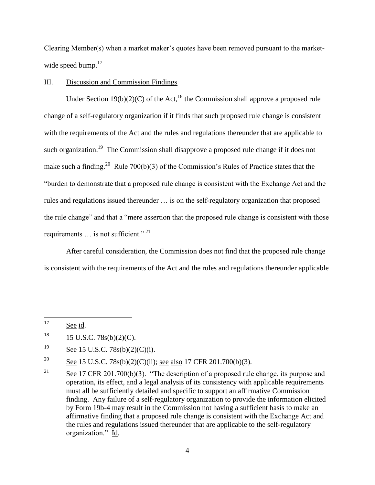Clearing Member(s) when a market maker's quotes have been removed pursuant to the marketwide speed bump.<sup>17</sup>

## III. Discussion and Commission Findings

Under Section 19(b)(2)(C) of the Act,<sup>18</sup> the Commission shall approve a proposed rule change of a self-regulatory organization if it finds that such proposed rule change is consistent with the requirements of the Act and the rules and regulations thereunder that are applicable to such organization.<sup>19</sup> The Commission shall disapprove a proposed rule change if it does not make such a finding.<sup>20</sup> Rule 700(b)(3) of the Commission's Rules of Practice states that the "burden to demonstrate that a proposed rule change is consistent with the Exchange Act and the rules and regulations issued thereunder … is on the self-regulatory organization that proposed the rule change" and that a "mere assertion that the proposed rule change is consistent with those requirements  $\ldots$  is not sufficient."<sup>21</sup>

After careful consideration, the Commission does not find that the proposed rule change is consistent with the requirements of the Act and the rules and regulations thereunder applicable

<sup>20</sup> See 15 U.S.C. 78s(b)(2)(C)(ii); <u>see also</u> 17 CFR 201.700(b)(3).

<sup>17</sup> See id.

 $18$  15 U.S.C. 78s(b)(2)(C).

 $\frac{19}{2}$  See 15 U.S.C. 78s(b)(2)(C)(i).

<sup>&</sup>lt;sup>21</sup> See 17 CFR 201.700(b)(3). "The description of a proposed rule change, its purpose and operation, its effect, and a legal analysis of its consistency with applicable requirements must all be sufficiently detailed and specific to support an affirmative Commission finding. Any failure of a self-regulatory organization to provide the information elicited by Form 19b-4 may result in the Commission not having a sufficient basis to make an affirmative finding that a proposed rule change is consistent with the Exchange Act and the rules and regulations issued thereunder that are applicable to the self-regulatory organization." Id.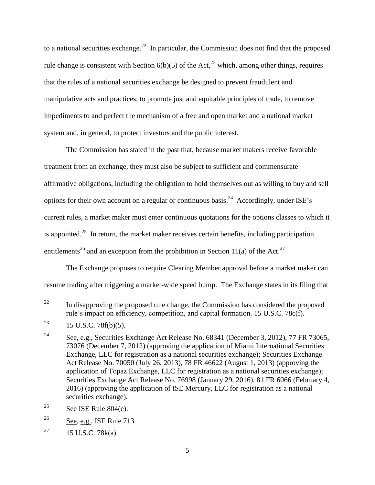to a national securities exchange.<sup>22</sup> In particular, the Commission does not find that the proposed rule change is consistent with Section  $6(b)(5)$  of the Act,<sup>23</sup> which, among other things, requires that the rules of a national securities exchange be designed to prevent fraudulent and manipulative acts and practices, to promote just and equitable principles of trade, to remove impediments to and perfect the mechanism of a free and open market and a national market system and, in general, to protect investors and the public interest.

The Commission has stated in the past that, because market makers receive favorable treatment from an exchange, they must also be subject to sufficient and commensurate affirmative obligations, including the obligation to hold themselves out as willing to buy and sell options for their own account on a regular or continuous basis.<sup>24</sup> Accordingly, under ISE's current rules, a market maker must enter continuous quotations for the options classes to which it is appointed.<sup>25</sup> In return, the market maker receives certain benefits, including participation entitlements<sup>26</sup> and an exception from the prohibition in Section 11(a) of the Act.<sup>27</sup>

The Exchange proposes to require Clearing Member approval before a market maker can resume trading after triggering a market-wide speed bump. The Exchange states in its filing that

 $22\,$ In disapproving the proposed rule change, the Commission has considered the proposed rule's impact on efficiency, competition, and capital formation. 15 U.S.C. 78c(f).

<sup>&</sup>lt;sup>23</sup> 15 U.S.C. 78f(b)(5).

<sup>&</sup>lt;sup>24</sup> See, e.g., Securities Exchange Act Release No. 68341 (December 3, 2012), 77 FR 73065, 73076 (December 7, 2012) (approving the application of Miami International Securities Exchange, LLC for registration as a national securities exchange); Securities Exchange Act Release No. 70050 (July 26, 2013), 78 FR 46622 (August 1, 2013) (approving the application of Topaz Exchange, LLC for registration as a national securities exchange); Securities Exchange Act Release No. 76998 (January 29, 2016), 81 FR 6066 (February 4, 2016) (approving the application of ISE Mercury, LLC for registration as a national securities exchange).

<sup>&</sup>lt;sup>25</sup> See ISE Rule  $804(e)$ .

 $26$  See, e.g., ISE Rule 713.

<sup>&</sup>lt;sup>27</sup> 15 U.S.C. 78 $k(a)$ .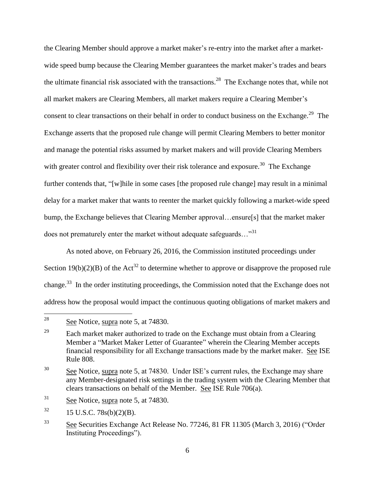the Clearing Member should approve a market maker's re-entry into the market after a marketwide speed bump because the Clearing Member guarantees the market maker's trades and bears the ultimate financial risk associated with the transactions.<sup>28</sup> The Exchange notes that, while not all market makers are Clearing Members, all market makers require a Clearing Member's consent to clear transactions on their behalf in order to conduct business on the Exchange.<sup>29</sup> The Exchange asserts that the proposed rule change will permit Clearing Members to better monitor and manage the potential risks assumed by market makers and will provide Clearing Members with greater control and flexibility over their risk tolerance and exposure.<sup>30</sup> The Exchange further contends that, "[w]hile in some cases [the proposed rule change] may result in a minimal delay for a market maker that wants to reenter the market quickly following a market-wide speed bump, the Exchange believes that Clearing Member approval…ensure[s] that the market maker does not prematurely enter the market without adequate safeguards... $^{31}$ 

As noted above, on February 26, 2016, the Commission instituted proceedings under Section 19(b)(2)(B) of the Act<sup>32</sup> to determine whether to approve or disapprove the proposed rule change.<sup>33</sup> In the order instituting proceedings, the Commission noted that the Exchange does not address how the proposal would impact the continuous quoting obligations of market makers and

<sup>28</sup> See Notice, supra note 5, at 74830.

<sup>&</sup>lt;sup>29</sup> Each market maker authorized to trade on the Exchange must obtain from a Clearing Member a "Market Maker Letter of Guarantee" wherein the Clearing Member accepts financial responsibility for all Exchange transactions made by the market maker. See ISE Rule 808.

<sup>&</sup>lt;sup>30</sup> See Notice, supra note 5, at 74830. Under ISE's current rules, the Exchange may share any Member-designated risk settings in the trading system with the Clearing Member that clears transactions on behalf of the Member. See ISE Rule 706(a).

 $31$  See Notice, supra note 5, at 74830.

 $32 \t15$  U.S.C. 78s(b)(2)(B).

<sup>33</sup> See Securities Exchange Act Release No. 77246, 81 FR 11305 (March 3, 2016) ("Order Instituting Proceedings").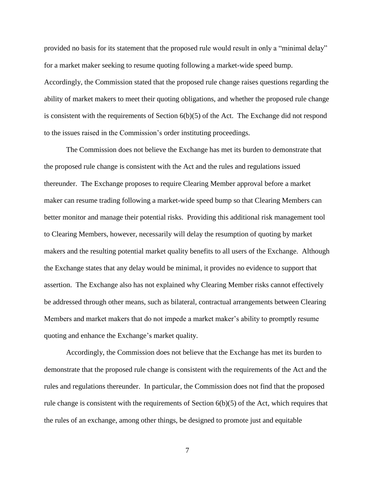provided no basis for its statement that the proposed rule would result in only a "minimal delay" for a market maker seeking to resume quoting following a market-wide speed bump. Accordingly, the Commission stated that the proposed rule change raises questions regarding the ability of market makers to meet their quoting obligations, and whether the proposed rule change is consistent with the requirements of Section  $6(b)(5)$  of the Act. The Exchange did not respond to the issues raised in the Commission's order instituting proceedings.

The Commission does not believe the Exchange has met its burden to demonstrate that the proposed rule change is consistent with the Act and the rules and regulations issued thereunder. The Exchange proposes to require Clearing Member approval before a market maker can resume trading following a market-wide speed bump so that Clearing Members can better monitor and manage their potential risks. Providing this additional risk management tool to Clearing Members, however, necessarily will delay the resumption of quoting by market makers and the resulting potential market quality benefits to all users of the Exchange. Although the Exchange states that any delay would be minimal, it provides no evidence to support that assertion. The Exchange also has not explained why Clearing Member risks cannot effectively be addressed through other means, such as bilateral, contractual arrangements between Clearing Members and market makers that do not impede a market maker's ability to promptly resume quoting and enhance the Exchange's market quality.

Accordingly, the Commission does not believe that the Exchange has met its burden to demonstrate that the proposed rule change is consistent with the requirements of the Act and the rules and regulations thereunder. In particular, the Commission does not find that the proposed rule change is consistent with the requirements of Section  $6(b)(5)$  of the Act, which requires that the rules of an exchange, among other things, be designed to promote just and equitable

7